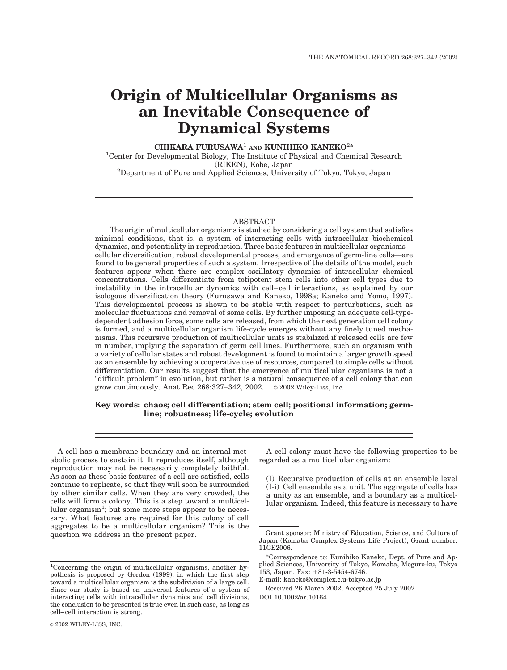# **Origin of Multicellular Organisms as an Inevitable Consequence of Dynamical Systems**

# **CHIKARA FURUSAWA**<sup>1</sup> **AND KUNIHIKO KANEKO**<sup>2</sup>

**CHIKARA FURUSAWA<sup>1</sup> AND KUNIHIKO KANEKO<sup>2\*</sup>**<br><sup>1</sup>Center for Developmental Biology, The Institute of Physical and Chemical Research (RIKEN), Kobe, Japan <sup>2</sup> Department of Pure and Applied Sciences, University of Tokyo, Tokyo, Japan

### ABSTRACT

The origin of multicellular organisms is studied by considering a cell system that satisfies minimal conditions, that is, a system of interacting cells with intracellular biochemical dynamics, and potentiality in reproduction. Three basic features in multicellular organisms cellular diversification, robust developmental process, and emergence of germ-line cells—are found to be general properties of such a system. Irrespective of the details of the model, such features appear when there are complex oscillatory dynamics of intracellular chemical concentrations. Cells differentiate from totipotent stem cells into other cell types due to instability in the intracellular dynamics with cell–cell interactions, as explained by our isologous diversification theory (Furusawa and Kaneko, 1998a; Kaneko and Yomo, 1997). This developmental process is shown to be stable with respect to perturbations, such as molecular fluctuations and removal of some cells. By further imposing an adequate cell-typedependent adhesion force, some cells are released, from which the next generation cell colony is formed, and a multicellular organism life-cycle emerges without any finely tuned mechanisms. This recursive production of multicellular units is stabilized if released cells are few in number, implying the separation of germ cell lines. Furthermore, such an organism with a variety of cellular states and robust development is found to maintain a larger growth speed as an ensemble by achieving a cooperative use of resources, compared to simple cells without differentiation. Our results suggest that the emergence of multicellular organisms is not a "difficult problem" in evolution, but rather is a natural consequence of a cell colony that can grow continuously. Anat Rec  $268:327-342$ ,  $2002$ .  $\circ$   $2002$  Wiley-Liss, Inc.

## **Key words: chaos; cell differentiation; stem cell; positional information; germline; robustness; life-cycle; evolution**

A cell has a membrane boundary and an internal metabolic process to sustain it. It reproduces itself, although reproduction may not be necessarily completely faithful. As soon as these basic features of a cell are satisfied, cells continue to replicate, so that they will soon be surrounded by other similar cells. When they are very crowded, the cells will form a colony. This is a step toward a multicellular organism<sup>1</sup>; but some more steps appear to be necessary. What features are required for this colony of cell aggregates to be a multicellular organism? This is the question we address in the present paper.

A cell colony must have the following properties to be regarded as a multicellular organism:

(I) Recursive production of cells at an ensemble level (I-i) Cell ensemble as a unit: The aggregate of cells has a unity as an ensemble, and a boundary as a multicellular organism. Indeed, this feature is necessary to have

<sup>1</sup> Concerning the origin of multicellular organisms, another hypothesis is proposed by Gordon (1999), in which the first step toward a multicellular organism is the subdivision of a large cell. Since our study is based on universal features of a system of interacting cells with intracellular dynamics and cell divisions, the conclusion to be presented is true even in such case, as long as cell–cell interaction is strong.

Grant sponsor: Ministry of Education, Science, and Culture of Japan (Komaba Complex Systems Life Project); Grant number: 11CE2006.

<sup>\*</sup>Correspondence to: Kunihiko Kaneko, Dept. of Pure and Applied Sciences, University of Tokyo, Komaba, Meguro-ku, Tokyo 153, Japan. Fax:  $+81-3-5454-6746$ . E-mail: kaneko@complex.c.u-tokyo.ac.jp

Received 26 March 2002; Accepted 25 July 2002 DOI 10.1002/ar.10164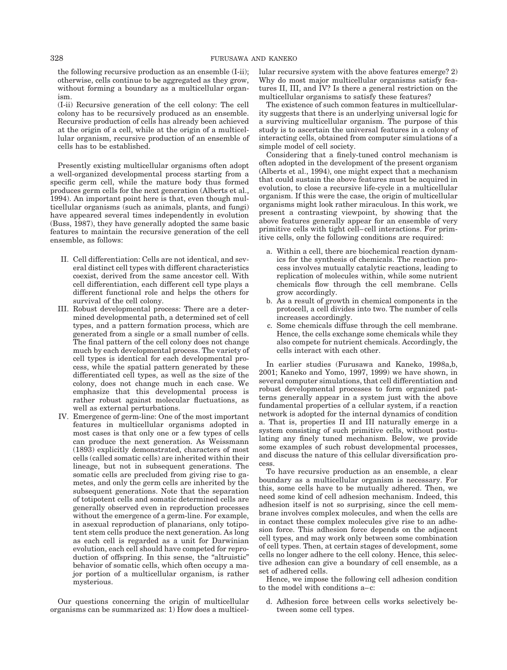the following recursive production as an ensemble (I-ii); otherwise, cells continue to be aggregated as they grow, without forming a boundary as a multicellular organism.

(I-ii) Recursive generation of the cell colony: The cell colony has to be recursively produced as an ensemble. Recursive production of cells has already been achieved at the origin of a cell, while at the origin of a multicellular organism, recursive production of an ensemble of cells has to be established.

Presently existing multicellular organisms often adopt a well-organized developmental process starting from a specific germ cell, while the mature body thus formed produces germ cells for the next generation (Alberts et al., 1994). An important point here is that, even though multicellular organisms (such as animals, plants, and fungi) have appeared several times independently in evolution (Buss, 1987), they have generally adopted the same basic features to maintain the recursive generation of the cell ensemble, as follows:

- II. Cell differentiation: Cells are not identical, and several distinct cell types with different characteristics coexist, derived from the same ancestor cell. With cell differentiation, each different cell type plays a different functional role and helps the others for survival of the cell colony.
- III. Robust developmental process: There are a determined developmental path, a determined set of cell types, and a pattern formation process, which are generated from a single or a small number of cells. The final pattern of the cell colony does not change much by each developmental process. The variety of cell types is identical for each developmental process, while the spatial pattern generated by these differentiated cell types, as well as the size of the colony, does not change much in each case. We emphasize that this developmental process is rather robust against molecular fluctuations, as well as external perturbations.
- IV. Emergence of germ-line: One of the most important features in multicellular organisms adopted in most cases is that only one or a few types of cells can produce the next generation. As Weissmann (1893) explicitly demonstrated, characters of most cells (called somatic cells) are inherited within their lineage, but not in subsequent generations. The somatic cells are precluded from giving rise to gametes, and only the germ cells are inherited by the subsequent generations. Note that the separation of totipotent cells and somatic determined cells are generally observed even in reproduction processes without the emergence of a germ-line. For example, in asexual reproduction of planarians, only totipotent stem cells produce the next generation. As long as each cell is regarded as a unit for Darwinian evolution, each cell should have competed for reproduction of offspring. In this sense, the "altruistic" behavior of somatic cells, which often occupy a major portion of a multicellular organism, is rather mysterious.

Our questions concerning the origin of multicellular organisms can be summarized as: 1) How does a multicellular recursive system with the above features emerge? 2) Why do most major multicellular organisms satisfy features II, III, and IV? Is there a general restriction on the multicellular organisms to satisfy these features?

The existence of such common features in multicellularity suggests that there is an underlying universal logic for a surviving multicellular organism. The purpose of this study is to ascertain the universal features in a colony of interacting cells, obtained from computer simulations of a simple model of cell society.

Considering that a finely-tuned control mechanism is often adopted in the development of the present organism (Alberts et al., 1994), one might expect that a mechanism that could sustain the above features must be acquired in evolution, to close a recursive life-cycle in a multicellular organism. If this were the case, the origin of multicellular organisms might look rather miraculous. In this work, we present a contrasting viewpoint, by showing that the above features generally appear for an ensemble of very primitive cells with tight cell–cell interactions. For primitive cells, only the following conditions are required:

- a. Within a cell, there are biochemical reaction dynamics for the synthesis of chemicals. The reaction process involves mutually catalytic reactions, leading to replication of molecules within, while some nutrient chemicals flow through the cell membrane. Cells grow accordingly.
- b. As a result of growth in chemical components in the protocell, a cell divides into two. The number of cells increases accordingly.
- c. Some chemicals diffuse through the cell membrane. Hence, the cells exchange some chemicals while they also compete for nutrient chemicals. Accordingly, the cells interact with each other.

In earlier studies (Furusawa and Kaneko, 1998a,b, 2001; Kaneko and Yomo, 1997, 1999) we have shown, in several computer simulations, that cell differentiation and robust developmental processes to form organized patterns generally appear in a system just with the above fundamental properties of a cellular system, if a reaction network is adopted for the internal dynamics of condition a. That is, properties II and III naturally emerge in a system consisting of such primitive cells, without postulating any finely tuned mechanism. Below, we provide some examples of such robust developmental processes, and discuss the nature of this cellular diversification process.

To have recursive production as an ensemble, a clear boundary as a multicellular organism is necessary. For this, some cells have to be mutually adhered. Then, we need some kind of cell adhesion mechanism. Indeed, this adhesion itself is not so surprising, since the cell membrane involves complex molecules, and when the cells are in contact these complex molecules give rise to an adhesion force. This adhesion force depends on the adjacent cell types, and may work only between some combination of cell types. Then, at certain stages of development, some cells no longer adhere to the cell colony. Hence, this selective adhesion can give a boundary of cell ensemble, as a set of adhered cells.

Hence, we impose the following cell adhesion condition to the model with conditions a–c:

d. Adhesion force between cells works selectively between some cell types.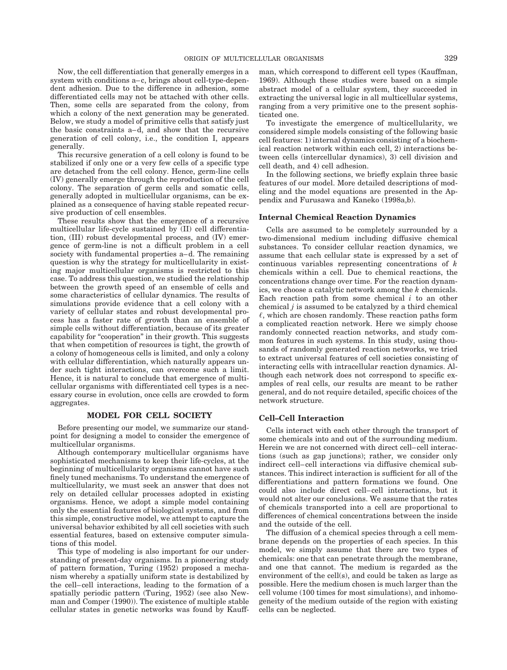Now, the cell differentiation that generally emerges in a system with conditions a–c, brings about cell-type-dependent adhesion. Due to the difference in adhesion, some differentiated cells may not be attached with other cells. Then, some cells are separated from the colony, from which a colony of the next generation may be generated. Below, we study a model of primitive cells that satisfy just the basic constraints a–d, and show that the recursive generation of cell colony, i.e., the condition I, appears generally.

This recursive generation of a cell colony is found to be stabilized if only one or a very few cells of a specific type are detached from the cell colony. Hence, germ-line cells (IV) generally emerge through the reproduction of the cell colony. The separation of germ cells and somatic cells, generally adopted in multicellular organisms, can be explained as a consequence of having stable repeated recursive production of cell ensembles.

These results show that the emergence of a recursive multicellular life-cycle sustained by (II) cell differentiation, (III) robust developmental process, and (IV) emergence of germ-line is not a difficult problem in a cell society with fundamental properties a–d. The remaining question is why the strategy for multicellularity in existing major multicellular organisms is restricted to this case. To address this question, we studied the relationship between the growth speed of an ensemble of cells and some characteristics of cellular dynamics. The results of simulations provide evidence that a cell colony with a variety of cellular states and robust developmental process has a faster rate of growth than an ensemble of simple cells without differentiation, because of its greater capability for "cooperation" in their growth. This suggests that when competition of resources is tight, the growth of a colony of homogeneous cells is limited, and only a colony with cellular differentiation, which naturally appears under such tight interactions, can overcome such a limit. Hence, it is natural to conclude that emergence of multicellular organisms with differentiated cell types is a necessary course in evolution, once cells are crowded to form aggregates.

#### **MODEL FOR CELL SOCIETY**

Before presenting our model, we summarize our standpoint for designing a model to consider the emergence of multicellular organisms.

Although contemporary multicellular organisms have sophisticated mechanisms to keep their life-cycles, at the beginning of multicellularity organisms cannot have such finely tuned mechanisms. To understand the emergence of multicellularity, we must seek an answer that does not rely on detailed cellular processes adopted in existing organisms. Hence, we adopt a simple model containing only the essential features of biological systems, and from this simple, constructive model, we attempt to capture the universal behavior exhibited by all cell societies with such essential features, based on extensive computer simulations of this model.

This type of modeling is also important for our understanding of present-day organisms. In a pioneering study of pattern formation, Turing (1952) proposed a mechanism whereby a spatially uniform state is destabilized by the cell–cell interactions, leading to the formation of a spatially periodic pattern (Turing, 1952) (see also Newman and Comper (1990)). The existence of multiple stable cellular states in genetic networks was found by Kauffman, which correspond to different cell types (Kauffman, 1969). Although these studies were based on a simple abstract model of a cellular system, they succeeded in extracting the universal logic in all multicellular systems, ranging from a very primitive one to the present sophisticated one.

To investigate the emergence of multicellularity, we considered simple models consisting of the following basic cell features: 1) internal dynamics consisting of a biochemical reaction network within each cell, 2) interactions between cells (intercellular dynamics), 3) cell division and cell death, and 4) cell adhesion.

In the following sections, we briefly explain three basic features of our model. More detailed descriptions of modeling and the model equations are presented in the Appendix and Furusawa and Kaneko (1998a,b).

#### **Internal Chemical Reaction Dynamics**

Cells are assumed to be completely surrounded by a two-dimensional medium including diffusive chemical substances. To consider cellular reaction dynamics, we assume that each cellular state is expressed by a set of continuous variables representing concentrations of *k* chemicals within a cell. Due to chemical reactions, the concentrations change over time. For the reaction dynamics, we choose a catalytic network among the *k* chemicals. Each reaction path from some chemical *i* to an other chemical *j* is assumed to be catalyzed by a third chemical  $\ell$ , which are chosen randomly. These reaction paths form a complicated reaction network. Here we simply choose randomly connected reaction networks, and study common features in such systems. In this study, using thousands of randomly generated reaction networks, we tried to extract universal features of cell societies consisting of interacting cells with intracellular reaction dynamics. Although each network does not correspond to specific examples of real cells, our results are meant to be rather general, and do not require detailed, specific choices of the network structure.

## **Cell–Cell Interaction**

Cells interact with each other through the transport of some chemicals into and out of the surrounding medium. Herein we are not concerned with direct cell–cell interactions (such as gap junctions); rather, we consider only indirect cell–cell interactions via diffusive chemical substances. This indirect interaction is sufficient for all of the differentiations and pattern formations we found. One could also include direct cell–cell interactions, but it would not alter our conclusions. We assume that the rates of chemicals transported into a cell are proportional to differences of chemical concentrations between the inside and the outside of the cell.

The diffusion of a chemical species through a cell membrane depends on the properties of each species. In this model, we simply assume that there are two types of chemicals: one that can penetrate through the membrane, and one that cannot. The medium is regarded as the environment of the cell(s), and could be taken as large as possible. Here the medium chosen is much larger than the cell volume (100 times for most simulations), and inhomogeneity of the medium outside of the region with existing cells can be neglected.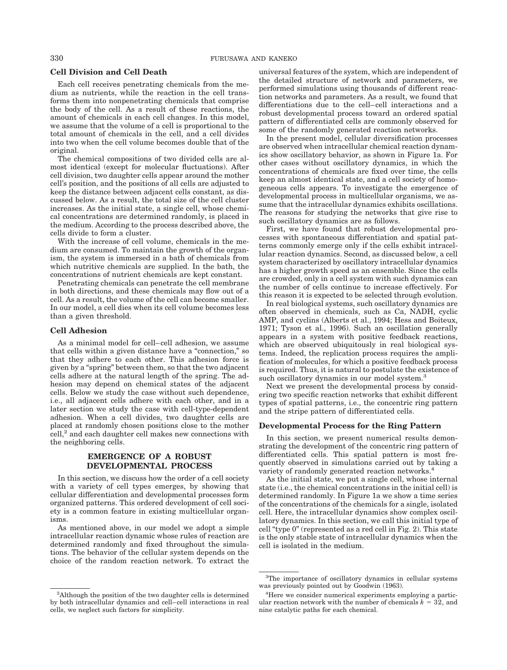#### **Cell Division and Cell Death**

Each cell receives penetrating chemicals from the medium as nutrients, while the reaction in the cell transforms them into nonpenetrating chemicals that comprise the body of the cell. As a result of these reactions, the amount of chemicals in each cell changes. In this model, we assume that the volume of a cell is proportional to the total amount of chemicals in the cell, and a cell divides into two when the cell volume becomes double that of the original.

The chemical compositions of two divided cells are almost identical (except for molecular fluctuations). After cell division, two daughter cells appear around the mother cell's position, and the positions of all cells are adjusted to keep the distance between adjacent cells constant, as discussed below. As a result, the total size of the cell cluster increases. As the initial state, a single cell, whose chemical concentrations are determined randomly, is placed in the medium. According to the process described above, the cells divide to form a cluster.

With the increase of cell volume, chemicals in the medium are consumed. To maintain the growth of the organism, the system is immersed in a bath of chemicals from which nutritive chemicals are supplied. In the bath, the concentrations of nutrient chemicals are kept constant.

Penetrating chemicals can penetrate the cell membrane in both directions, and these chemicals may flow out of a cell. As a result, the volume of the cell can become smaller. In our model, a cell dies when its cell volume becomes less than a given threshold.

## **Cell Adhesion**

As a minimal model for cell–cell adhesion, we assume that cells within a given distance have a "connection," so that they adhere to each other. This adhesion force is given by a "spring" between them, so that the two adjacent cells adhere at the natural length of the spring. The adhesion may depend on chemical states of the adjacent cells. Below we study the case without such dependence, i.e., all adjacent cells adhere with each other, and in a later section we study the case with cell-type-dependent adhesion. When a cell divides, two daughter cells are placed at randomly chosen positions close to the mother cell,<sup>2</sup> and each daughter cell makes new connections with the neighboring cells.

## **EMERGENCE OF A ROBUST DEVELOPMENTAL PROCESS**

In this section, we discuss how the order of a cell society with a variety of cell types emerges, by showing that cellular differentiation and developmental processes form organized patterns. This ordered development of cell society is a common feature in existing multicellular organisms.

As mentioned above, in our model we adopt a simple intracellular reaction dynamic whose rules of reaction are determined randomly and fixed throughout the simulations. The behavior of the cellular system depends on the choice of the random reaction network. To extract the universal features of the system, which are independent of the detailed structure of network and parameters, we performed simulations using thousands of different reaction networks and parameters. As a result, we found that differentiations due to the cell–cell interactions and a robust developmental process toward an ordered spatial pattern of differentiated cells are commonly observed for some of the randomly generated reaction networks.

In the present model, cellular diversification processes are observed when intracellular chemical reaction dynamics show oscillatory behavior, as shown in Figure 1a. For other cases without oscillatory dynamics, in which the concentrations of chemicals are fixed over time, the cells keep an almost identical state, and a cell society of homogeneous cells appears. To investigate the emergence of developmental process in multicellular organisms, we assume that the intracellular dynamics exhibits oscillations. The reasons for studying the networks that give rise to such oscillatory dynamics are as follows.

First, we have found that robust developmental processes with spontaneous differentiation and spatial patterns commonly emerge only if the cells exhibit intracellular reaction dynamics. Second, as discussed below, a cell system characterized by oscillatory intracellular dynamics has a higher growth speed as an ensemble. Since the cells are crowded, only in a cell system with such dynamics can the number of cells continue to increase effectively. For this reason it is expected to be selected through evolution.

In real biological systems, such oscillatory dynamics are often observed in chemicals, such as Ca, NADH, cyclic AMP, and cyclins (Alberts et al., 1994; Hess and Boiteux, 1971; Tyson et al., 1996). Such an oscillation generally appears in a system with positive feedback reactions, which are observed ubiquitously in real biological systems. Indeed, the replication process requires the amplification of molecules, for which a positive feedback process is required. Thus, it is natural to postulate the existence of such oscillatory dynamics in our model system.<sup>3</sup>

Next we present the developmental process by considering two specific reaction networks that exhibit different types of spatial patterns, i.e., the concentric ring pattern and the stripe pattern of differentiated cells.

#### **Developmental Process for the Ring Pattern**

In this section, we present numerical results demonstrating the development of the concentric ring pattern of differentiated cells. This spatial pattern is most frequently observed in simulations carried out by taking a variety of randomly generated reaction networks.4

As the initial state, we put a single cell, whose internal state (i.e., the chemical concentrations in the initial cell) is determined randomly. In Figure 1a we show a time series of the concentrations of the chemicals for a single, isolated cell. Here, the intracellular dynamics show complex oscillatory dynamics. In this section, we call this initial type of cell "type 0" (represented as a red cell in Fig. 2). This state is the only stable state of intracellular dynamics when the cell is isolated in the medium.

<sup>&</sup>lt;sup>2</sup>Although the position of the two daughter cells is determined by both intracellular dynamics and cell–cell interactions in real cells, we neglect such factors for simplicity.

<sup>&</sup>lt;sup>3</sup>The importance of oscillatory dynamics in cellular systems was previously pointed out by Goodwin (1963).

<sup>4</sup> Here we consider numerical experiments employing a particular reaction network with the number of chemicals  $k = 32$ , and nine catalytic paths for each chemical.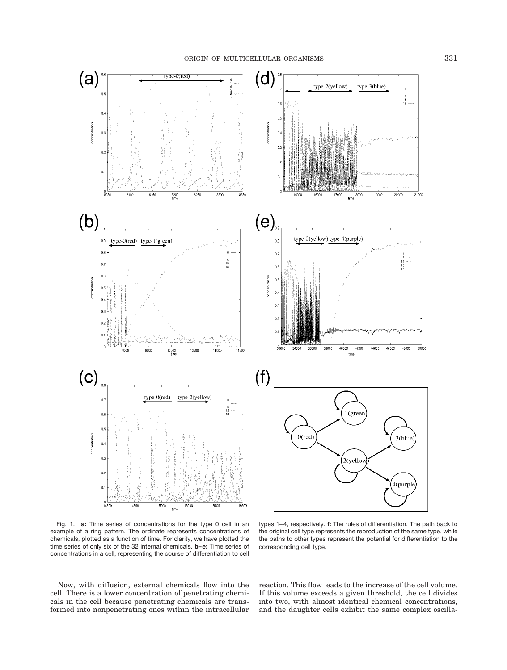

Fig. 1. **a:** Time series of concentrations for the type 0 cell in an example of a ring pattern. The ordinate represents concentrations of chemicals, plotted as a function of time. For clarity, we have plotted the time series of only six of the 32 internal chemicals. **b–e:** Time series of concentrations in a cell, representing the course of differentiation to cell

types 1–4, respectively. **f:** The rules of differentiation. The path back to the original cell type represents the reproduction of the same type, while the paths to other types represent the potential for differentiation to the corresponding cell type.

Now, with diffusion, external chemicals flow into the cell. There is a lower concentration of penetrating chemicals in the cell because penetrating chemicals are transformed into nonpenetrating ones within the intracellular reaction. This flow leads to the increase of the cell volume. If this volume exceeds a given threshold, the cell divides into two, with almost identical chemical concentrations, and the daughter cells exhibit the same complex oscilla-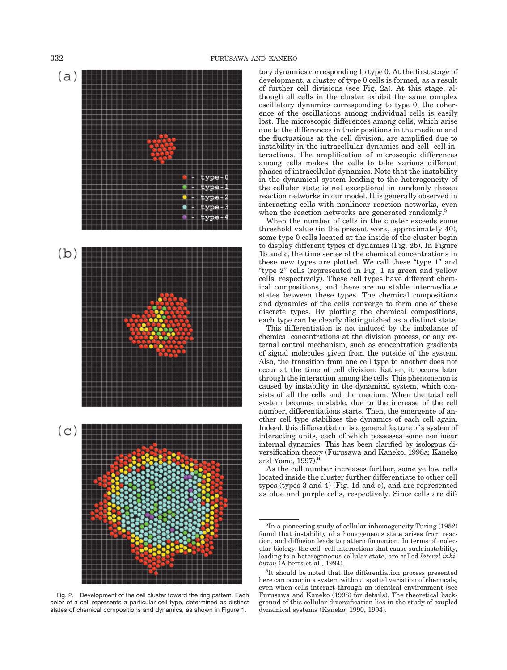

Fig. 2. Development of the cell cluster toward the ring pattern. Each color of a cell represents a particular cell type, determined as distinct states of chemical compositions and dynamics, as shown in Figure 1.

tory dynamics corresponding to type 0. At the first stage of development, a cluster of type 0 cells is formed, as a result of further cell divisions (see Fig. 2a). At this stage, although all cells in the cluster exhibit the same complex oscillatory dynamics corresponding to type 0, the coherence of the oscillations among individual cells is easily lost. The microscopic differences among cells, which arise due to the differences in their positions in the medium and the fluctuations at the cell division, are amplified due to instability in the intracellular dynamics and cell–cell interactions. The amplification of microscopic differences among cells makes the cells to take various different phases of intracellular dynamics. Note that the instability in the dynamical system leading to the heterogeneity of the cellular state is not exceptional in randomly chosen reaction networks in our model. It is generally observed in interacting cells with nonlinear reaction networks, even when the reaction networks are generated randomly.<sup>5</sup>

When the number of cells in the cluster exceeds some threshold value (in the present work, approximately 40), some type 0 cells located at the inside of the cluster begin to display different types of dynamics (Fig. 2b). In Figure 1b and c, the time series of the chemical concentrations in these new types are plotted. We call these "type 1" and "type 2" cells (represented in Fig. 1 as green and yellow cells, respectively). These cell types have different chemical compositions, and there are no stable intermediate states between these types. The chemical compositions and dynamics of the cells converge to form one of these discrete types. By plotting the chemical compositions, each type can be clearly distinguished as a distinct state.

This differentiation is not induced by the imbalance of chemical concentrations at the division process, or any external control mechanism, such as concentration gradients of signal molecules given from the outside of the system. Also, the transition from one cell type to another does not occur at the time of cell division. Rather, it occurs later through the interaction among the cells. This phenomenon is caused by instability in the dynamical system, which consists of all the cells and the medium. When the total cell system becomes unstable, due to the increase of the cell number, differentiations starts. Then, the emergence of another cell type stabilizes the dynamics of each cell again. Indeed, this differentiation is a general feature of a system of interacting units, each of which possesses some nonlinear internal dynamics. This has been clarified by isologous diversification theory (Furusawa and Kaneko, 1998a; Kaneko and Yomo,  $1997$ .<sup>6</sup>

As the cell number increases further, some yellow cells located inside the cluster further differentiate to other cell types (types 3 and 4) (Fig. 1d and e), and are represented as blue and purple cells, respectively. Since cells are dif-

<sup>5</sup> In a pioneering study of cellular inhomogeneity Turing (1952) found that instability of a homogeneous state arises from reaction, and diffusion leads to pattern formation. In terms of molecular biology, the cell–cell interactions that cause such instability, leading to a heterogeneous cellular state, are called *lateral inhibition* (Alberts et al., 1994).

<sup>6</sup> It should be noted that the differentiation process presented here can occur in a system without spatial variation of chemicals, even when cells interact through an identical environment (see Furusawa and Kaneko (1998) for details). The theoretical background of this cellular diversification lies in the study of coupled dynamical systems (Kaneko, 1990, 1994).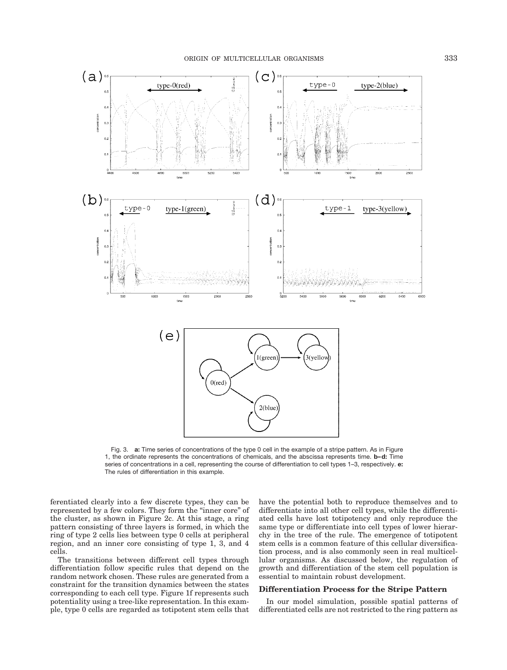

Fig. 3. **a:** Time series of concentrations of the type 0 cell in the example of a stripe pattern. As in Figure 1, the ordinate represents the concentrations of chemicals, and the abscissa represents time. **b–d:** Time series of concentrations in a cell, representing the course of differentiation to cell types 1–3, respectively. **e:** The rules of differentiation in this example.

ferentiated clearly into a few discrete types, they can be represented by a few colors. They form the "inner core" of the cluster, as shown in Figure 2c. At this stage, a ring pattern consisting of three layers is formed, in which the ring of type 2 cells lies between type 0 cells at peripheral region, and an inner core consisting of type 1, 3, and 4 cells.

The transitions between different cell types through differentiation follow specific rules that depend on the random network chosen. These rules are generated from a constraint for the transition dynamics between the states corresponding to each cell type. Figure 1f represents such potentiality using a tree-like representation. In this example, type 0 cells are regarded as totipotent stem cells that have the potential both to reproduce themselves and to differentiate into all other cell types, while the differentiated cells have lost totipotency and only reproduce the same type or differentiate into cell types of lower hierarchy in the tree of the rule. The emergence of totipotent stem cells is a common feature of this cellular diversification process, and is also commonly seen in real multicellular organisms. As discussed below, the regulation of growth and differentiation of the stem cell population is essential to maintain robust development.

#### **Differentiation Process for the Stripe Pattern**

In our model simulation, possible spatial patterns of differentiated cells are not restricted to the ring pattern as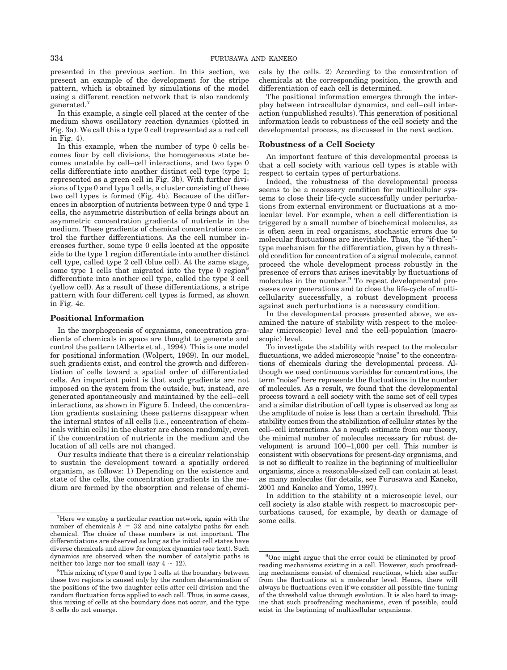presented in the previous section. In this section, we present an example of the development for the stripe pattern, which is obtained by simulations of the model using a different reaction network that is also randomly generated.7

In this example, a single cell placed at the center of the medium shows oscillatory reaction dynamics (plotted in Fig. 3a). We call this a type 0 cell (represented as a red cell in Fig. 4).

In this example, when the number of type 0 cells becomes four by cell divisions, the homogeneous state becomes unstable by cell–cell interactions, and two type 0 cells differentiate into another distinct cell type (type 1; represented as a green cell in Fig. 3b). With further divisions of type 0 and type 1 cells, a cluster consisting of these two cell types is formed (Fig. 4b). Because of the differences in absorption of nutrients between type 0 and type 1 cells, the asymmetric distribution of cells brings about an asymmetric concentration gradients of nutrients in the medium. These gradients of chemical concentrations control the further differentiations. As the cell number increases further, some type 0 cells located at the opposite side to the type 1 region differentiate into another distinct cell type, called type 2 cell (blue cell). At the same stage, some type 1 cells that migrated into the type  $0$  region<sup>8</sup> differentiate into another cell type, called the type 3 cell (yellow cell). As a result of these differentiations, a stripe pattern with four different cell types is formed, as shown in Fig. 4c.

## **Positional Information**

In the morphogenesis of organisms, concentration gradients of chemicals in space are thought to generate and control the pattern (Alberts et al., 1994). This is one model for positional information (Wolpert, 1969). In our model, such gradients exist, and control the growth and differentiation of cells toward a spatial order of differentiated cells. An important point is that such gradients are not imposed on the system from the outside, but, instead, are generated spontaneously and maintained by the cell–cell interactions, as shown in Figure 5. Indeed, the concentration gradients sustaining these patterns disappear when the internal states of all cells (i.e., concentration of chemicals within cells) in the cluster are chosen randomly, even if the concentration of nutrients in the medium and the location of all cells are not changed.

Our results indicate that there is a circular relationship to sustain the development toward a spatially ordered organism, as follows: 1) Depending on the existence and state of the cells, the concentration gradients in the medium are formed by the absorption and release of chemicals by the cells. 2) According to the concentration of chemicals at the corresponding position, the growth and differentiation of each cell is determined.

The positional information emerges through the interplay between intracellular dynamics, and cell–cell interaction (unpublished results). This generation of positional information leads to robustness of the cell society and the developmental process, as discussed in the next section.

#### **Robustness of a Cell Society**

An important feature of this developmental process is that a cell society with various cell types is stable with respect to certain types of perturbations.

Indeed, the robustness of the developmental process seems to be a necessary condition for multicellular systems to close their life-cycle successfully under perturbations from external environment or fluctuations at a molecular level. For example, when a cell differentiation is triggered by a small number of biochemical molecules, as is often seen in real organisms, stochastic errors due to molecular fluctuations are inevitable. Thus, the "if-then" type mechanism for the differentiation, given by a threshold condition for concentration of a signal molecule, cannot proceed the whole development process robustly in the presence of errors that arises inevitably by fluctuations of molecules in the number.<sup>9</sup> To repeat developmental processes over generations and to close the life-cycle of multicellularity successfully, a robust development process against such perturbations is a necessary condition.

In the developmental process presented above, we examined the nature of stability with respect to the molecular (microscopic) level and the cell-population (macroscopic) level.

To investigate the stability with respect to the molecular fluctuations, we added microscopic "noise" to the concentrations of chemicals during the developmental process. Although we used continuous variables for concentrations, the term "noise" here represents the fluctuations in the number of molecules. As a result, we found that the developmental process toward a cell society with the same set of cell types and a similar distribution of cell types is observed as long as the amplitude of noise is less than a certain threshold. This stability comes from the stabilization of cellular states by the cell–cell interactions. As a rough estimate from our theory, the minimal number of molecules necessary for robust development is around 100–1,000 per cell. This number is consistent with observations for present-day organisms, and is not so difficult to realize in the beginning of multicellular organisms, since a reasonable-sized cell can contain at least as many molecules (for details, see Furusawa and Kaneko, 2001 and Kaneko and Yomo, 1997).

In addition to the stability at a microscopic level, our cell society is also stable with respect to macroscopic perturbations caused, for example, by death or damage of

<sup>&</sup>lt;sup>7</sup>Here we employ a particular reaction network, again with the some cells. number of chemicals  $k = 32$  and nine catalytic paths for each chemical. The choice of these numbers is not important. The differentiations are observed as long as the initial cell states have diverse chemicals and allow for complex dynamics (see text). Such dynamics are observed when the number of catalytic paths is neither too large nor too small (say  $4 \sim 12$ ).

<sup>&</sup>lt;sup>8</sup>This mixing of type 0 and type 1 cells at the boundary between these two regions is caused only by the random determination of the positions of the two daughter cells after cell division and the random fluctuation force applied to each cell. Thus, in some cases, this mixing of cells at the boundary does not occur, and the type 3 cells do not emerge.

<sup>&</sup>lt;sup>9</sup>One might argue that the error could be eliminated by proofreading mechanisms existing in a cell. However, such proofreading mechanisms consist of chemical reactions, which also suffer from the fluctuations at a molecular level. Hence, there will always be fluctuations even if we consider all possible fine-tuning of the threshold value through evolution. It is also hard to imagine that such proofreading mechanisms, even if possible, could exist in the beginning of multicellular organisms.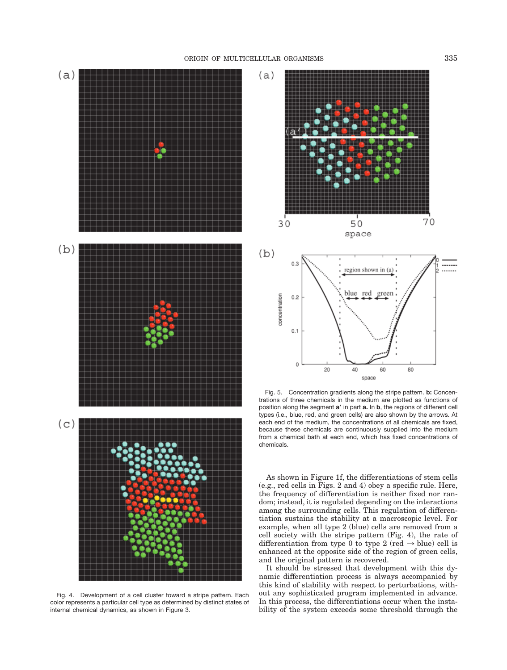

Fig. 4. Development of a cell cluster toward a stripe pattern. Each color represents a particular cell type as determined by distinct states of internal chemical dynamics, as shown in Figure 3.

## ORIGIN OF MULTICELLULAR ORGANISMS 335



Fig. 5. Concentration gradients along the stripe pattern. **b:** Concentrations of three chemicals in the medium are plotted as functions of position along the segment **a** in part **a.** In **b**, the regions of different cell types (i.e., blue, red, and green cells) are also shown by the arrows. At each end of the medium, the concentrations of all chemicals are fixed, because these chemicals are continuously supplied into the medium from a chemical bath at each end, which has fixed concentrations of chemicals.

As shown in Figure 1f, the differentiations of stem cells (e.g., red cells in Figs. 2 and 4) obey a specific rule. Here, the frequency of differentiation is neither fixed nor random; instead, it is regulated depending on the interactions among the surrounding cells. This regulation of differentiation sustains the stability at a macroscopic level. For example, when all type 2 (blue) cells are removed from a cell society with the stripe pattern (Fig. 4), the rate of differentiation from type 0 to type 2 (red  $\rightarrow$  blue) cell is enhanced at the opposite side of the region of green cells, and the original pattern is recovered.

It should be stressed that development with this dynamic differentiation process is always accompanied by this kind of stability with respect to perturbations, without any sophisticated program implemented in advance. In this process, the differentiations occur when the instability of the system exceeds some threshold through the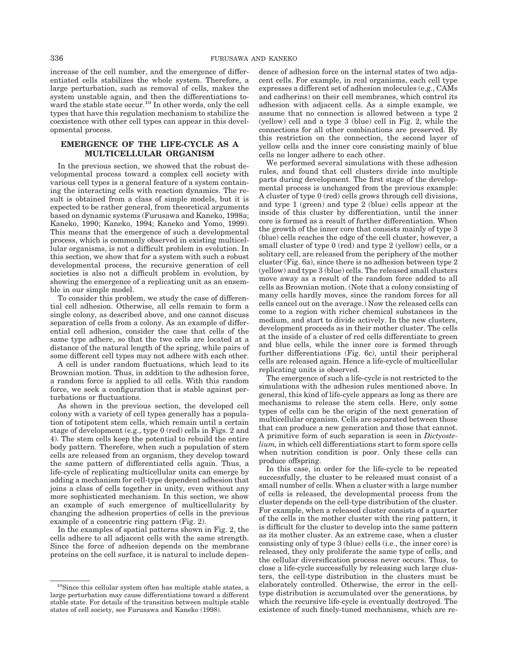increase of the cell number, and the emergence of differentiated cells stabilizes the whole system. Therefore, a large perturbation, such as removal of cells, makes the system unstable again, and then the differentiations toward the stable state occur.<sup>10</sup> In other words, only the cell types that have this regulation mechanism to stabilize the coexistence with other cell types can appear in this developmental process.

## **EMERGENCE OF THE LIFE-CYCLE AS A MULTICELLULAR ORGANISM**

In the previous section, we showed that the robust developmental process toward a complex cell society with various cell types is a general feature of a system containing the interacting cells with reaction dynamics. The result is obtained from a class of simple models, but it is expected to be rather general, from theoretical arguments based on dynamic systems (Furusawa and Kaneko, 1998a; Kaneko, 1990; Kaneko, 1994; Kaneko and Yomo, 1999). This means that the emergence of such a developmental process, which is commonly observed in existing multicellular organisms, is not a difficult problem in evolution. In this section, we show that for a system with such a robust developmental process, the recursive generation of cell societies is also not a difficult problem in evolution, by showing the emergence of a replicating unit as an ensemble in our simple model.

To consider this problem, we study the case of differential cell adhesion. Otherwise, all cells remain to form a single colony, as described above, and one cannot discuss separation of cells from a colony. As an example of differential cell adhesion, consider the case that cells of the same type adhere, so that the two cells are located at a distance of the natural length of the spring, while pairs of some different cell types may not adhere with each other.

A cell is under random fluctuations, which lead to its Brownian motion. Thus, in addition to the adhesion force, a random force is applied to all cells. With this random force, we seek a configuration that is stable against perturbations or fluctuations.

As shown in the previous section, the developed cell colony with a variety of cell types generally has a population of totipotent stem cells, which remain until a certain stage of development (e.g., type 0 (red) cells in Figs. 2 and 4). The stem cells keep the potential to rebuild the entire body pattern. Therefore, when such a population of stem cells are released from an organism, they develop toward the same pattern of differentiated cells again. Thus, a life-cycle of replicating multicellular units can emerge by adding a mechanism for cell-type dependent adhesion that joins a class of cells together in unity, even without any more sophisticated mechanism. In this section, we show an example of such emergence of multicellularity by changing the adhesion properties of cells in the previous example of a concentric ring pattern (Fig. 2).

In the examples of spatial patterns shown in Fig. 2, the cells adhere to all adjacent cells with the same strength. Since the force of adhesion depends on the membrane proteins on the cell surface, it is natural to include dependence of adhesion force on the internal states of two adjacent cells. For example, in real organisms, each cell type expresses a different set of adhesion molecules (e.g., CAMs and cadherins) on their cell membranes, which control its adhesion with adjacent cells. As a simple example, we assume that no connection is allowed between a type 2 (yellow) cell and a type 3 (blue) cell in Fig. 2, while the connections for all other combinations are preserved. By this restriction on the connection, the second layer of yellow cells and the inner core consisting mainly of blue cells no longer adhere to each other.

We performed several simulations with these adhesion rules, and found that cell clusters divide into multiple parts during development. The first stage of the developmental process is unchanged from the previous example: A cluster of type 0 (red) cells grows through cell divisions, and type 1 (green) and type 2 (blue) cells appear at the inside of this cluster by differentiation, until the inner core is formed as a result of further differentiation. When the growth of the inner core that consists mainly of type 3 (blue) cells reaches the edge of the cell cluster, however, a small cluster of type 0 (red) and type 2 (yellow) cells, or a solitary cell, are released from the periphery of the mother cluster (Fig. 6a), since there is no adhesion between type 2 (yellow) and type 3 (blue) cells. The released small clusters move away as a result of the random force added to all cells as Brownian motion. (Note that a colony consisting of many cells hardly moves, since the random forces for all cells cancel out on the average.) Now the released cells can come to a region with richer chemical substances in the medium, and start to divide actively. In the new clusters, development proceeds as in their mother cluster. The cells at the inside of a cluster of red cells differentiate to green and blue cells, while the inner core is formed through further differentiations (Fig. 6c), until their peripheral cells are released again. Hence a life-cycle of multicellular replicating units is observed.

The emergence of such a life-cycle is not restricted to the simulations with the adhesion rules mentioned above. In general, this kind of life-cycle appears as long as there are mechanisms to release the stem cells. Here, only some types of cells can be the origin of the next generation of multicellular organism. Cells are separated between those that can produce a new generation and those that cannot. A primitive form of such separation is seen in *Dictyostelium,* in which cell differentiations start to form spore cells when nutrition condition is poor. Only these cells can produce offspring.

In this case, in order for the life-cycle to be repeated successfully, the cluster to be released must consist of a small number of cells. When a cluster with a large number of cells is released, the developmental process from the cluster depends on the cell-type distribution of the cluster. For example, when a released cluster consists of a quarter of the cells in the mother cluster with the ring pattern, it is difficult for the cluster to develop into the same pattern as its mother cluster. As an extreme case, when a cluster consisting only of type 3 (blue) cells (i.e., the inner core) is released, they only proliferate the same type of cells, and the cellular diversification process never occurs. Thus, to close a life-cycle successfully by releasing such large clusters, the cell-type distribution in the clusters must be elaborately controlled. Otherwise, the error in the celltype distribution is accumulated over the generations, by which the recursive life-cycle is eventually destroyed. The existence of such finely-tuned mechanisms, which are re-

<sup>10</sup>Since this cellular system often has multiple stable states, a large perturbation may cause differentiations toward a different stable state. For details of the transition between multiple stable states of cell society, see Furusawa and Kaneko (1998).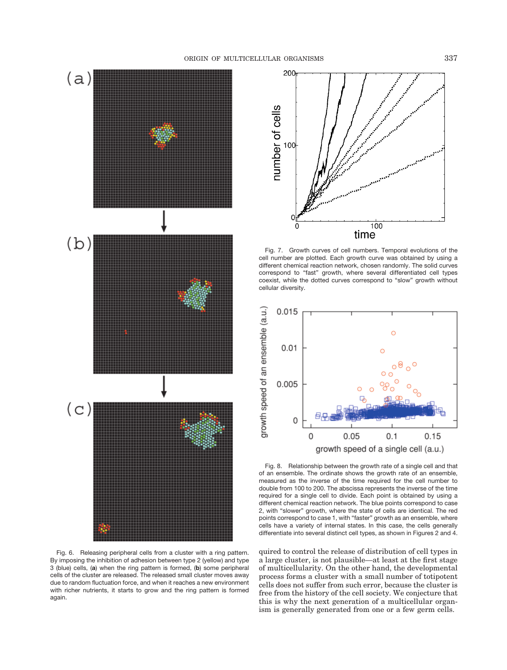

Fig. 6. Releasing peripheral cells from a cluster with a ring pattern. By imposing the inhibition of adhesion between type 2 (yellow) and type 3 (blue) cells, (**a**) when the ring pattern is formed, (**b**) some peripheral cells of the cluster are released. The released small cluster moves away due to random fluctuation force, and when it reaches a new environment with richer nutrients, it starts to grow and the ring pattern is formed again.



Fig. 7. Growth curves of cell numbers. Temporal evolutions of the cell number are plotted. Each growth curve was obtained by using a different chemical reaction network, chosen randomly. The solid curves correspond to "fast" growth, where several differentiated cell types coexist, while the dotted curves correspond to "slow" growth without cellular diversity.



Fig. 8. Relationship between the growth rate of a single cell and that of an ensemble. The ordinate shows the growth rate of an ensemble, measured as the inverse of the time required for the cell number to double from 100 to 200. The abscissa represents the inverse of the time required for a single cell to divide. Each point is obtained by using a different chemical reaction network. The blue points correspond to case 2, with "slower" growth, where the state of cells are identical. The red points correspond to case 1, with "faster" growth as an ensemble, where cells have a variety of internal states. In this case, the cells generally differentiate into several distinct cell types, as shown in Figures 2 and 4.

quired to control the release of distribution of cell types in a large cluster, is not plausible—at least at the first stage of multicellularity. On the other hand, the developmental process forms a cluster with a small number of totipotent cells does not suffer from such error, because the cluster is free from the history of the cell society. We conjecture that this is why the next generation of a multicellular organism is generally generated from one or a few germ cells.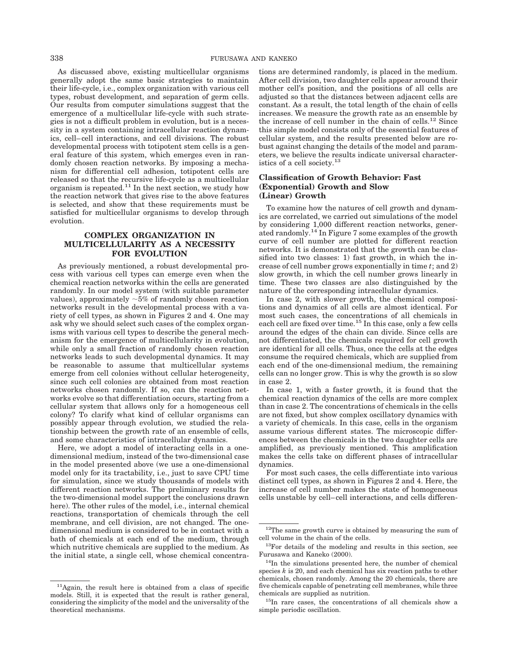As discussed above, existing multicellular organisms generally adopt the same basic strategies to maintain their life-cycle, i.e., complex organization with various cell types, robust development, and separation of germ cells. Our results from computer simulations suggest that the emergence of a multicellular life-cycle with such strategies is not a difficult problem in evolution, but is a necessity in a system containing intracellular reaction dynamics, cell–cell interactions, and cell divisions. The robust developmental process with totipotent stem cells is a general feature of this system, which emerges even in randomly chosen reaction networks. By imposing a mechanism for differential cell adhesion, totipotent cells are released so that the recursive life-cycle as a multicellular organism is repeated.<sup>11</sup> In the next section, we study how the reaction network that gives rise to the above features is selected, and show that these requirements must be satisfied for multicellular organisms to develop through evolution.

## **COMPLEX ORGANIZATION IN MULTICELLULARITY AS A NECESSITY FOR EVOLUTION**

As previously mentioned, a robust developmental process with various cell types can emerge even when the chemical reaction networks within the cells are generated randomly. In our model system (with suitable parameter values), approximately  $\sim 5\%$  of randomly chosen reaction networks result in the developmental process with a variety of cell types, as shown in Figures 2 and 4. One may ask why we should select such cases of the complex organisms with various cell types to describe the general mechanism for the emergence of multicellularity in evolution, while only a small fraction of randomly chosen reaction networks leads to such developmental dynamics. It may be reasonable to assume that multicellular systems emerge from cell colonies without cellular heterogeneity, since such cell colonies are obtained from most reaction networks chosen randomly. If so, can the reaction networks evolve so that differentiation occurs, starting from a cellular system that allows only for a homogeneous cell colony? To clarify what kind of cellular organisms can possibly appear through evolution, we studied the relationship between the growth rate of an ensemble of cells, and some characteristics of intracellular dynamics.

Here, we adopt a model of interacting cells in a onedimensional medium, instead of the two-dimensional case in the model presented above (we use a one-dimensional model only for its tractability, i.e., just to save CPU time for simulation, since we study thousands of models with different reaction networks. The preliminary results for the two-dimensional model support the conclusions drawn here). The other rules of the model, i.e., internal chemical reactions, transportation of chemicals through the cell membrane, and cell division, are not changed. The onedimensional medium is considered to be in contact with a bath of chemicals at each end of the medium, through which nutritive chemicals are supplied to the medium. As the initial state, a single cell, whose chemical concentrations are determined randomly, is placed in the medium. After cell division, two daughter cells appear around their mother cell's position, and the positions of all cells are adjusted so that the distances between adjacent cells are constant. As a result, the total length of the chain of cells increases. We measure the growth rate as an ensemble by the increase of cell number in the chain of cells.<sup>12</sup> Since this simple model consists only of the essential features of cellular system, and the results presented below are robust against changing the details of the model and parameters, we believe the results indicate universal characteristics of a cell society.13

## **Classification of Growth Behavior: Fast (Exponential) Growth and Slow (Linear) Growth**

To examine how the natures of cell growth and dynamics are correlated, we carried out simulations of the model by considering 1,000 different reaction networks, generated randomly.14 In Figure 7 some examples of the growth curve of cell number are plotted for different reaction networks. It is demonstrated that the growth can be classified into two classes: 1) fast growth, in which the increase of cell number grows exponentially in time *t*; and 2) slow growth, in which the cell number grows linearly in time. These two classes are also distinguished by the nature of the corresponding intracellular dynamics.

In case 2, with slower growth, the chemical compositions and dynamics of all cells are almost identical. For most such cases, the concentrations of all chemicals in each cell are fixed over time.<sup>15</sup> In this case, only a few cells around the edges of the chain can divide. Since cells are not differentiated, the chemicals required for cell growth are identical for all cells. Thus, once the cells at the edges consume the required chemicals, which are supplied from each end of the one-dimensional medium, the remaining cells can no longer grow. This is why the growth is so slow in case 2.

In case 1, with a faster growth, it is found that the chemical reaction dynamics of the cells are more complex than in case 2. The concentrations of chemicals in the cells are not fixed, but show complex oscillatory dynamics with a variety of chemicals. In this case, cells in the organism assume various different states. The microscopic differences between the chemicals in the two daughter cells are amplified, as previously mentioned. This amplification makes the cells take on different phases of intracellular dynamics.

For most such cases, the cells differentiate into various distinct cell types, as shown in Figures 2 and 4. Here, the increase of cell number makes the state of homogeneous cells unstable by cell–cell interactions, and cells differen-

<sup>11</sup>Again, the result here is obtained from a class of specific models. Still, it is expected that the result is rather general, considering the simplicity of the model and the universality of the theoretical mechanisms.

<sup>&</sup>lt;sup>12</sup>The same growth curve is obtained by measuring the sum of cell volume in the chain of the cells.

 $13$ For details of the modeling and results in this section, see Furusawa and Kaneko (2000).

<sup>14</sup>In the simulations presented here, the number of chemical species *k* is 20, and each chemical has six reaction paths to other chemicals, chosen randomly. Among the 20 chemicals, there are five chemicals capable of penetrating cell membranes, while three chemicals are supplied as nutrition.

<sup>15</sup>In rare cases, the concentrations of all chemicals show a simple periodic oscillation.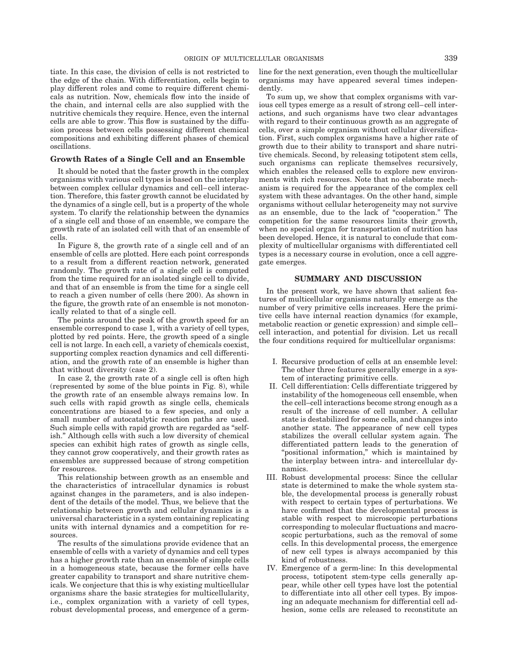tiate. In this case, the division of cells is not restricted to the edge of the chain. With differentiation, cells begin to play different roles and come to require different chemicals as nutrition. Now, chemicals flow into the inside of the chain, and internal cells are also supplied with the nutritive chemicals they require. Hence, even the internal cells are able to grow. This flow is sustained by the diffusion process between cells possessing different chemical compositions and exhibiting different phases of chemical oscillations.

#### **Growth Rates of a Single Cell and an Ensemble**

It should be noted that the faster growth in the complex organisms with various cell types is based on the interplay between complex cellular dynamics and cell–cell interaction. Therefore, this faster growth cannot be elucidated by the dynamics of a single cell, but is a property of the whole system. To clarify the relationship between the dynamics of a single cell and those of an ensemble, we compare the growth rate of an isolated cell with that of an ensemble of cells.

In Figure 8, the growth rate of a single cell and of an ensemble of cells are plotted. Here each point corresponds to a result from a different reaction network, generated randomly. The growth rate of a single cell is computed from the time required for an isolated single cell to divide, and that of an ensemble is from the time for a single cell to reach a given number of cells (here 200). As shown in the figure, the growth rate of an ensemble is not monotonically related to that of a single cell.

The points around the peak of the growth speed for an ensemble correspond to case 1, with a variety of cell types, plotted by red points. Here, the growth speed of a single cell is not large. In each cell, a variety of chemicals coexist, supporting complex reaction dynamics and cell differentiation, and the growth rate of an ensemble is higher than that without diversity (case 2).

In case 2, the growth rate of a single cell is often high (represented by some of the blue points in Fig. 8), while the growth rate of an ensemble always remains low. In such cells with rapid growth as single cells, chemicals concentrations are biased to a few species, and only a small number of autocatalytic reaction paths are used. Such simple cells with rapid growth are regarded as "selfish." Although cells with such a low diversity of chemical species can exhibit high rates of growth as single cells, they cannot grow cooperatively, and their growth rates as ensembles are suppressed because of strong competition for resources.

This relationship between growth as an ensemble and the characteristics of intracellular dynamics is robust against changes in the parameters, and is also independent of the details of the model. Thus, we believe that the relationship between growth and cellular dynamics is a universal characteristic in a system containing replicating units with internal dynamics and a competition for resources.

The results of the simulations provide evidence that an ensemble of cells with a variety of dynamics and cell types has a higher growth rate than an ensemble of simple cells in a homogeneous state, because the former cells have greater capability to transport and share nutritive chemicals. We conjecture that this is why existing multicellular organisms share the basic strategies for multicellularity, i.e., complex organization with a variety of cell types, robust developmental process, and emergence of a germline for the next generation, even though the multicellular organisms may have appeared several times independently.

To sum up, we show that complex organisms with various cell types emerge as a result of strong cell–cell interactions, and such organisms have two clear advantages with regard to their continuous growth as an aggregate of cells, over a simple organism without cellular diversification. First, such complex organisms have a higher rate of growth due to their ability to transport and share nutritive chemicals. Second, by releasing totipotent stem cells, such organisms can replicate themselves recursively, which enables the released cells to explore new environments with rich resources. Note that no elaborate mechanism is required for the appearance of the complex cell system with these advantages. On the other hand, simple organisms without cellular heterogeneity may not survive as an ensemble, due to the lack of "cooperation." The competition for the same resources limits their growth, when no special organ for transportation of nutrition has been developed. Hence, it is natural to conclude that complexity of multicellular organisms with differentiated cell types is a necessary course in evolution, once a cell aggregate emerges.

#### **SUMMARY AND DISCUSSION**

In the present work, we have shown that salient features of multicellular organisms naturally emerge as the number of very primitive cells increases. Here the primitive cells have internal reaction dynamics (for example, metabolic reaction or genetic expression) and simple cell– cell interaction, and potential for division. Let us recall the four conditions required for multicellular organisms:

- I. Recursive production of cells at an ensemble level: The other three features generally emerge in a system of interacting primitive cells.
- II. Cell differentiation: Cells differentiate triggered by instability of the homogeneous cell ensemble, when the cell–cell interactions become strong enough as a result of the increase of cell number. A cellular state is destabilized for some cells, and changes into another state. The appearance of new cell types stabilizes the overall cellular system again. The differentiated pattern leads to the generation of "positional information," which is maintained by the interplay between intra- and intercellular dynamics.
- III. Robust developmental process: Since the cellular state is determined to make the whole system stable, the developmental process is generally robust with respect to certain types of perturbations. We have confirmed that the developmental process is stable with respect to microscopic perturbations corresponding to molecular fluctuations and macroscopic perturbations, such as the removal of some cells. In this developmental process, the emergence of new cell types is always accompanied by this kind of robustness.
- IV. Emergence of a germ-line: In this developmental process, totipotent stem-type cells generally appear, while other cell types have lost the potential to differentiate into all other cell types. By imposing an adequate mechanism for differential cell adhesion, some cells are released to reconstitute an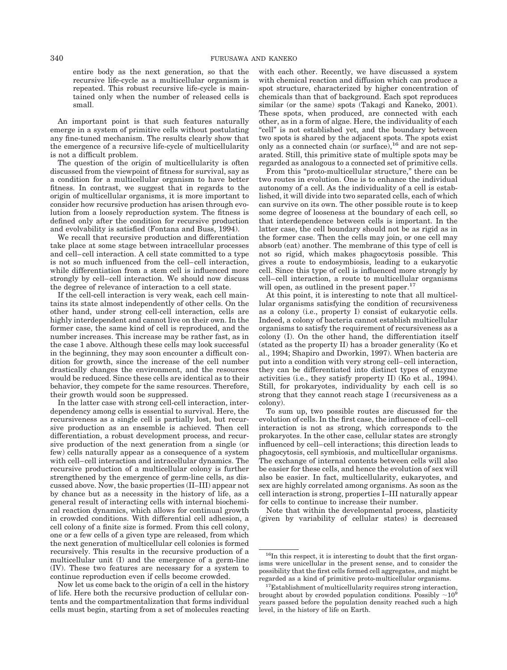entire body as the next generation, so that the recursive life-cycle as a multicellular organism is repeated. This robust recursive life-cycle is maintained only when the number of released cells is small.

An important point is that such features naturally emerge in a system of primitive cells without postulating any fine-tuned mechanism. The results clearly show that the emergence of a recursive life-cycle of multicellularity is not a difficult problem.

The question of the origin of multicellularity is often discussed from the viewpoint of fitness for survival, say as a condition for a multicellular organism to have better fitness. In contrast, we suggest that in regards to the origin of multicellular organisms, it is more important to consider how recursive production has arisen through evolution from a loosely reproduction system. The fitness is defined only after the condition for recursive production and evolvability is satisfied (Fontana and Buss, 1994).

We recall that recursive production and differentiation take place at some stage between intracellular processes and cell–cell interaction. A cell state committed to a type is not so much influenced from the cell–cell interaction, while differentiation from a stem cell is influenced more strongly by cell–cell interaction. We should now discuss the degree of relevance of interaction to a cell state.

If the cell-cell interaction is very weak, each cell maintains its state almost independently of other cells. On the other hand, under strong cell-cell interaction, cells are highly interdependent and cannot live on their own. In the former case, the same kind of cell is reproduced, and the number increases. This increase may be rather fast, as in the case 1 above. Although these cells may look successful in the beginning, they may soon encounter a difficult condition for growth, since the increase of the cell number drastically changes the environment, and the resources would be reduced. Since these cells are identical as to their behavior, they compete for the same resources. Therefore, their growth would soon be suppressed.

In the latter case with strong cell-cell interaction, interdependency among cells is essential to survival. Here, the recursiveness as a single cell is partially lost, but recursive production as an ensemble is achieved. Then cell differentiation, a robust development process, and recursive production of the next generation from a single (or few) cells naturally appear as a consequence of a system with cell–cell interaction and intracellular dynamics. The recursive production of a multicellular colony is further strengthened by the emergence of germ-line cells, as discussed above. Now, the basic properties (II–III) appear not by chance but as a necessity in the history of life, as a general result of interacting cells with internal biochemical reaction dynamics, which allows for continual growth in crowded conditions. With differential cell adhesion, a cell colony of a finite size is formed. From this cell colony, one or a few cells of a given type are released, from which the next generation of multicellular cell colonies is formed recursively. This results in the recursive production of a multicellular unit (I) and the emergence of a germ-line (IV). These two features are necessary for a system to continue reproduction even if cells become crowded.

Now let us come back to the origin of a cell in the history of life. Here both the recursive production of cellular contents and the compartmentalization that forms individual cells must begin, starting from a set of molecules reacting with each other. Recently, we have discussed a system with chemical reaction and diffusion which can produce a spot structure, characterized by higher concentration of chemicals than that of background. Each spot reproduces similar (or the same) spots (Takagi and Kaneko, 2001). These spots, when produced, are connected with each other, as in a form of algae. Here, the individuality of each "cell" is not established yet, and the boundary between two spots is shared by the adjacent spots. The spots exist only as a connected chain (or surface),  $^{16}$  and are not separated. Still, this primitive state of multiple spots may be regarded as analogous to a connected set of primitive cells.

From this "proto-multicellular structure," there can be two routes in evolution. One is to enhance the individual autonomy of a cell. As the individuality of a cell is established, it will divide into two separated cells, each of which can survive on its own. The other possible route is to keep some degree of looseness at the boundary of each cell, so that interdependence between cells is important. In the latter case, the cell boundary should not be as rigid as in the former case. Then the cells may join, or one cell may absorb (eat) another. The membrane of this type of cell is not so rigid, which makes phagocytosis possible. This gives a route to endosymbiosis, leading to a eukaryotic cell. Since this type of cell is influenced more strongly by cell–cell interaction, a route to multicellular organisms will open, as outlined in the present paper. $17$ 

At this point, it is interesting to note that all multicellular organisms satisfying the condition of recursiveness as a colony (i.e., property I) consist of eukaryotic cells. Indeed, a colony of bacteria cannot establish multicellular organisms to satisfy the requirement of recursiveness as a colony (I). On the other hand, the differentiation itself (stated as the property II) has a broader generality (Ko et al., 1994; Shapiro and Dworkin, 1997). When bacteria are put into a condition with very strong cell–cell interaction, they can be differentiated into distinct types of enzyme activities (i.e., they satisfy property II) (Ko et al., 1994). Still, for prokaryotes, individuality by each cell is so strong that they cannot reach stage I (recursiveness as a colony).

To sum up, two possible routes are discussed for the evolution of cells. In the first case, the influence of cell–cell interaction is not as strong, which corresponds to the prokaryotes. In the other case, cellular states are strongly influenced by cell–cell interactions; this direction leads to phagocytosis, cell symbiosis, and multicellular organisms. The exchange of internal contents between cells will also be easier for these cells, and hence the evolution of sex will also be easier. In fact, multicellularity, eukaryotes, and sex are highly correlated among organisms. As soon as the cell interaction is strong, properties I–III naturally appear for cells to continue to increase their number.

Note that within the developmental process, plasticity (given by variability of cellular states) is decreased

<sup>&</sup>lt;sup>16</sup>In this respect, it is interesting to doubt that the first organisms were unicellular in the present sense, and to consider the possibility that the first cells formed cell aggregates, and might be regarded as a kind of primitive proto-multicellular organisms.

<sup>&</sup>lt;sup>17</sup>Establishment of multicellularity requires strong interaction, brought about by crowded population conditions. Possibly  $\sim 10^9$ years passed before the population density reached such a high level, in the history of life on Earth.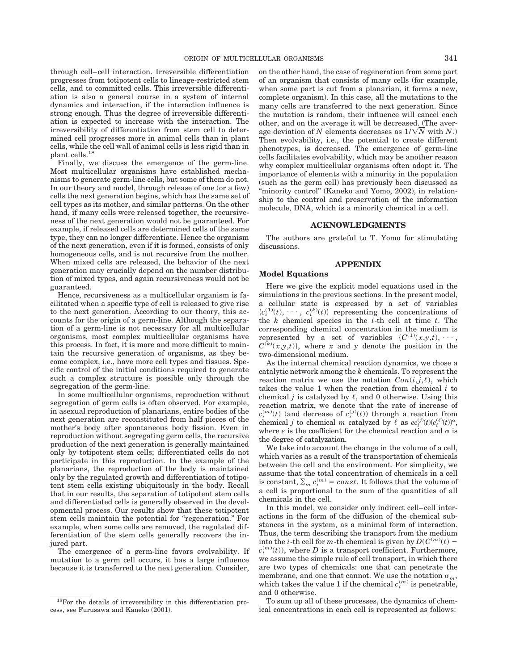through cell–cell interaction. Irreversible differentiation progresses from totipotent cells to lineage-restricted stem cells, and to committed cells. This irreversible differentiation is also a general course in a system of internal dynamics and interaction, if the interaction influence is strong enough. Thus the degree of irreversible differentiation is expected to increase with the interaction. The irreversibility of differentiation from stem cell to determined cell progresses more in animal cells than in plant cells, while the cell wall of animal cells is less rigid than in plant cells.18

Finally, we discuss the emergence of the germ-line. Most multicellular organisms have established mechanisms to generate germ-line cells, but some of them do not. In our theory and model, through release of one (or a few) cells the next generation begins, which has the same set of cell types as its mother, and similar patterns. On the other hand, if many cells were released together, the recursiveness of the next generation would not be guaranteed. For example, if released cells are determined cells of the same type, they can no longer differentiate. Hence the organism of the next generation, even if it is formed, consists of only homogeneous cells, and is not recursive from the mother. When mixed cells are released, the behavior of the next generation may crucially depend on the number distribution of mixed types, and again recursiveness would not be guaranteed.

Hence, recursiveness as a multicellular organism is facilitated when a specific type of cell is released to give rise to the next generation. According to our theory, this accounts for the origin of a germ-line. Although the separation of a germ-line is not necessary for all multicellular organisms, most complex multicellular organisms have this process. In fact, it is more and more difficult to maintain the recursive generation of organisms, as they become complex, i.e., have more cell types and tissues. Specific control of the initial conditions required to generate such a complex structure is possible only through the segregation of the germ-line.

In some multicellular organisms, reproduction without segregation of germ cells is often observed. For example, in asexual reproduction of planarians, entire bodies of the next generation are reconstituted from half pieces of the mother's body after spontaneous body fission. Even in reproduction without segregating germ cells, the recursive production of the next generation is generally maintained only by totipotent stem cells; differentiated cells do not participate in this reproduction. In the example of the planarians, the reproduction of the body is maintained only by the regulated growth and differentiation of totipotent stem cells existing ubiquitously in the body. Recall that in our results, the separation of totipotent stem cells and differentiated cells is generally observed in the developmental process. Our results show that these totipotent stem cells maintain the potential for "regeneration." For example, when some cells are removed, the regulated differentiation of the stem cells generally recovers the injured part.

The emergence of a germ-line favors evolvability. If mutation to a germ cell occurs, it has a large influence because it is transferred to the next generation. Consider, on the other hand, the case of regeneration from some part of an organism that consists of many cells (for example, when some part is cut from a planarian, it forms a new, complete organism). In this case, all the mutations to the many cells are transferred to the next generation. Since the mutation is random, their influence will cancel each other, and on the average it will be decreased. (The average deviation of *N* elements decreases as  $1/\sqrt{N}$  with *N*.) Then evolvability, i.e., the potential to create different phenotypes, is decreased. The emergence of germ-line cells facilitates evolvability, which may be another reason why complex multicellular organisms often adopt it. The importance of elements with a minority in the population (such as the germ cell) has previously been discussed as "minority control" (Kaneko and Yomo, 2002), in relationship to the control and preservation of the information molecule, DNA, which is a minority chemical in a cell.

#### **ACKNOWLEDGMENTS**

The authors are grateful to T. Yomo for stimulating discussions.

#### **APPENDIX**

# **Model Equations**

Here we give the explicit model equations used in the simulations in the previous sections. In the present model, a cellular state is expressed by a set of variables  ${c_i^{(1)}(t), \cdots, c_i^{(k)}(t)}$  representing the concentrations of the *k* chemical species in the *i*-th cell at time *t*. The corresponding chemical concentration in the medium is represented by a set of variables  $\{C^{(1)}(x,y,t), \cdots, C^{(k)}(x,y,t)\}$  $C^{(k)}(x, y, t)$ , where *x* and *y* denote the position in the two-dimensional medium.

As the internal chemical reaction dynamics, we chose a catalytic network among the *k* chemicals. To represent the reaction matrix we use the notation  $Con(i,j,\ell)$ , which takes the value 1 when the reaction from chemical *i* to chemical *j* is catalyzed by  $\ell$ , and 0 otherwise. Using this reaction matrix, we denote that the rate of increase of  $c_i^{(m)}(t)$  (and decrease of  $c_i^{(j)}(t)$ ) through a reaction from chemical *j* to chemical *m* catalyzed by  $\ell$  as  $ec_i^{(j)}(t)c_i^{(\ell)}(t))$ <sup>o</sup>, where  $e$  is the coefficient for the chemical reaction and  $\alpha$  is the degree of catalyzation.

We take into account the change in the volume of a cell, which varies as a result of the transportation of chemicals between the cell and the environment. For simplicity, we assume that the total concentration of chemicals in a cell is constant,  $\Sigma_m c_i^{(m)} = const.$  It follows that the volume of a cell is proportional to the sum of the quantities of all chemicals in the cell.

In this model, we consider only indirect cell–cell interactions in the form of the diffusion of the chemical substances in the system, as a minimal form of interaction. Thus, the term describing the transport from the medium into the *i*-th cell for *m*-th chemical is given by  $D(C^{(m)}(t)$  $c_i^{(m)}(t)$ ), where *D* is a transport coefficient. Furthermore, we assume the simple rule of cell transport, in which there are two types of chemicals: one that can penetrate the membrane, and one that cannot. We use the notation  $\sigma_m$ , which takes the value 1 if the chemical  $c_i^{(m)}$  is penetrable, and 0 otherwise.

To sum up all of these processes, the dynamics of chemical concentrations in each cell is represented as follows:

<sup>18</sup>For the details of irreversibility in this differentiation process, see Furusawa and Kaneko (2001).